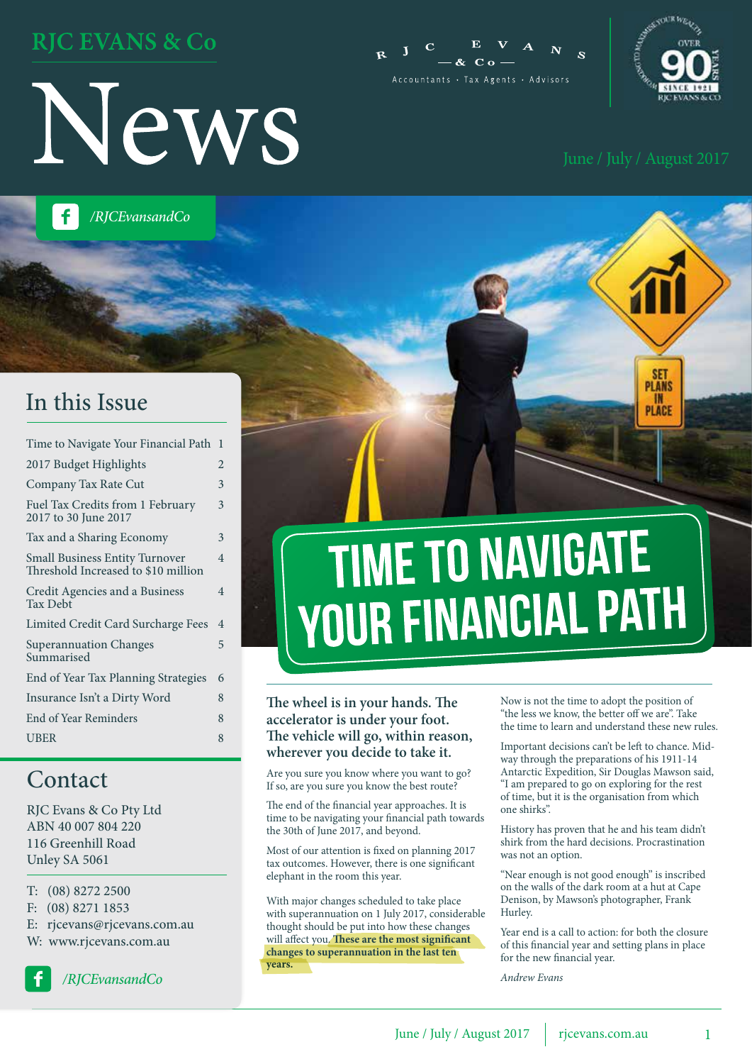### **RJC EVANS & Co**







**PLANS** II PLACE

*/RJCEvansandCo*

### In this Issue

| Time to Navigate Your Financial Path                                         | 1                        |
|------------------------------------------------------------------------------|--------------------------|
| 2017 Budget Highlights                                                       | $\overline{2}$           |
| Company Tax Rate Cut                                                         | 3                        |
| Fuel Tax Credits from 1 February<br>2017 to 30 June 2017                     | 3                        |
| Tax and a Sharing Economy                                                    | 3                        |
| <b>Small Business Entity Turnover</b><br>Threshold Increased to \$10 million | $\overline{\mathcal{A}}$ |
| Credit Agencies and a Business<br><b>Tax Debt</b>                            | 4                        |
| Limited Credit Card Surcharge Fees                                           | 4                        |
| <b>Superannuation Changes</b><br>Summarised                                  | 5                        |
| End of Year Tax Planning Strategies                                          | 6                        |
| Insurance Isn't a Dirty Word                                                 | 8                        |
| End of Year Reminders                                                        | 8                        |
| <b>UBER</b>                                                                  | 8                        |
|                                                                              |                          |

#### Contact

RJC Evans & Co Pty Ltd ABN 40 007 804 220 116 Greenhill Road Unley SA 5061

- T: (08) 8272 2500
- F: (08) 8271 1853
- E: rjcevans@rjcevans.com.au
- W: www.rjcevans.com.au



*/RJCEvansandCo*

# **TIME TO NAVIGATE YOUR FINANCIAL PATH**

#### **The wheel is in your hands. The accelerator is under your foot. The vehicle will go, within reason, wherever you decide to take it.**

Are you sure you know where you want to go? If so, are you sure you know the best route?

The end of the financial year approaches. It is time to be navigating your financial path towards the 30th of June 2017, and beyond.

Most of our attention is fixed on planning 2017 tax outcomes. However, there is one significant elephant in the room this year.

With major changes scheduled to take place with superannuation on 1 July 2017, considerable thought should be put into how these changes will affect you. **These are the most significant changes to superannuation in the last ten years.**

Now is not the time to adopt the position of "the less we know, the better off we are". Take the time to learn and understand these new rules.

Important decisions can't be left to chance. Midway through the preparations of his 1911-14 Antarctic Expedition, Sir Douglas Mawson said, "I am prepared to go on exploring for the rest of time, but it is the organisation from which one shirks".

History has proven that he and his team didn't shirk from the hard decisions. Procrastination was not an option.

"Near enough is not good enough" is inscribed on the walls of the dark room at a hut at Cape Denison, by Mawson's photographer, Frank Hurley.

Year end is a call to action: for both the closure of this financial year and setting plans in place for the new financial year.

*Andrew Evans*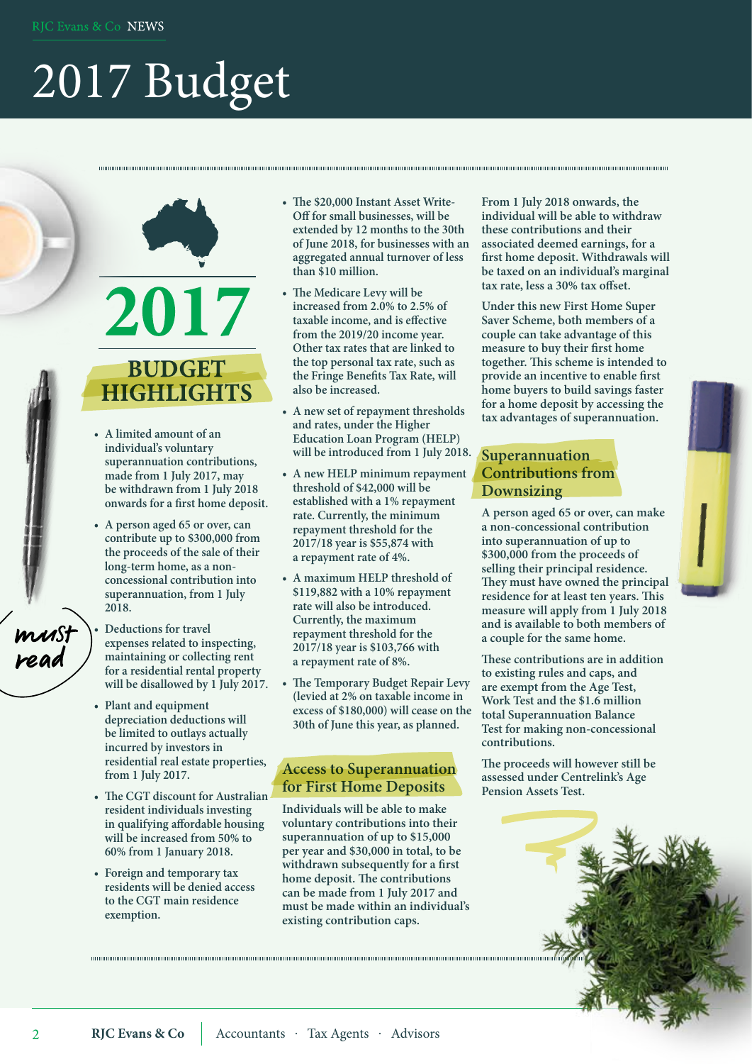## 2017 Budget

### 2017 **BUDGET HIGHLIGHTS**

- **• A limited amount of an individual's voluntary superannuation contributions, made from 1 July 2017, may be withdrawn from 1 July 2018 onwards for a first home deposit.**
- **• A person aged 65 or over, can contribute up to \$300,000 from the proceeds of the sale of their long-term home, as a nonconcessional contribution into superannuation, from 1 July 2018.**
- **• Deductions for travel expenses related to inspecting, maintaining or collecting rent for a residential rental property will be disallowed by 1 July 2017.**
- **• Plant and equipment depreciation deductions will be limited to outlays actually incurred by investors in residential real estate properties, from 1 July 2017.**
- **• The CGT discount for Australian resident individuals investing in qualifying affordable housing will be increased from 50% to 60% from 1 January 2018.**
- **• Foreign and temporary tax residents will be denied access to the CGT main residence exemption.**

**• The \$20,000 Instant Asset Write-Off for small businesses, will be extended by 12 months to the 30th of June 2018, for businesses with an aggregated annual turnover of less than \$10 million.**

- **• The Medicare Levy will be increased from 2.0% to 2.5% of taxable income, and is effective from the 2019/20 income year. Other tax rates that are linked to the top personal tax rate, such as the Fringe Benefits Tax Rate, will also be increased.**
- **• A new set of repayment thresholds and rates, under the Higher Education Loan Program (HELP) will be introduced from 1 July 2018.**
- **• A new HELP minimum repayment threshold of \$42,000 will be established with a 1% repayment rate. Currently, the minimum repayment threshold for the 2017/18 year is \$55,874 with a repayment rate of 4%.**
- **• A maximum HELP threshold of \$119,882 with a 10% repayment rate will also be introduced. Currently, the maximum repayment threshold for the 2017/18 year is \$103,766 with a repayment rate of 8%.**
- **• The Temporary Budget Repair Levy (levied at 2% on taxable income in excess of \$180,000) will cease on the 30th of June this year, as planned.**

#### **Access to Superannuation for First Home Deposits**

**Individuals will be able to make voluntary contributions into their superannuation of up to \$15,000 per year and \$30,000 in total, to be withdrawn subsequently for a first home deposit. The contributions can be made from 1 July 2017 and must be made within an individual's existing contribution caps.**

**From 1 July 2018 onwards, the individual will be able to withdraw these contributions and their associated deemed earnings, for a first home deposit. Withdrawals will be taxed on an individual's marginal tax rate, less a 30% tax offset.**

**Under this new First Home Super Saver Scheme, both members of a couple can take advantage of this measure to buy their first home together. This scheme is intended to provide an incentive to enable first home buyers to build savings faster for a home deposit by accessing the tax advantages of superannuation.**

#### **Superannuation Contributions from Downsizing**

**A person aged 65 or over, can make a non-concessional contribution into superannuation of up to \$300,000 from the proceeds of selling their principal residence. They must have owned the principal residence for at least ten years. This measure will apply from 1 July 2018 and is available to both members of a couple for the same home.**

**These contributions are in addition to existing rules and caps, and are exempt from the Age Test, Work Test and the \$1.6 million total Superannuation Balance Test for making non-concessional contributions.**

**The proceeds will however still be assessed under Centrelink's Age Pension Assets Test.**



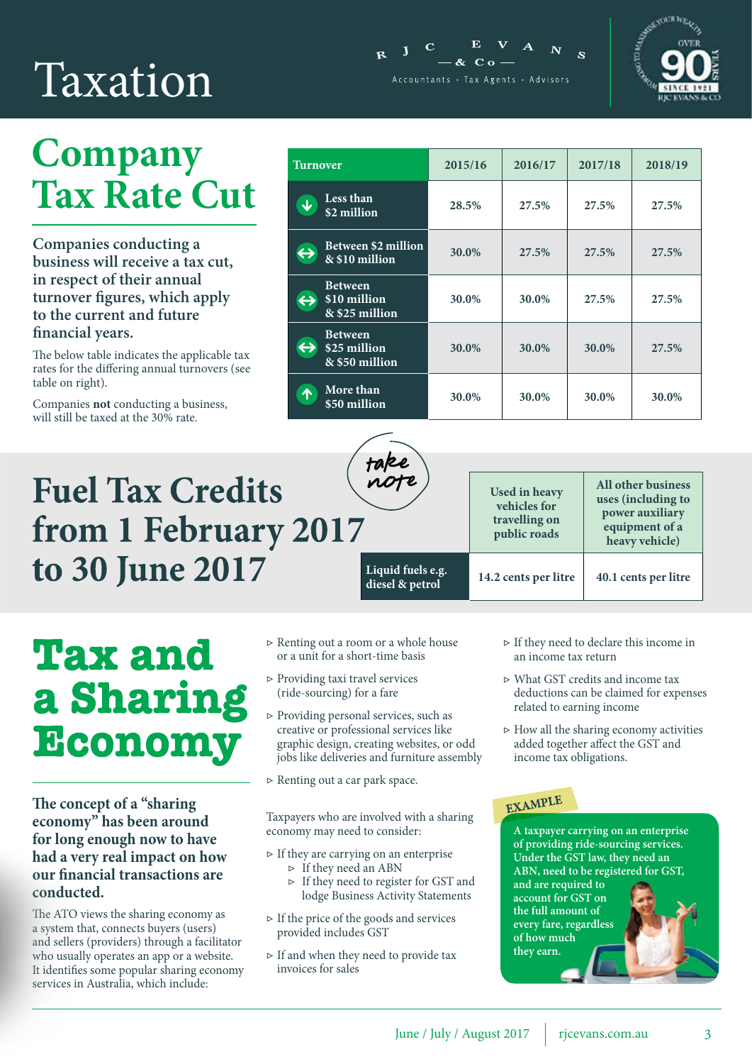## Taxation

### **Company Tax Rate Cut**

**Companies conducting a business will receive a tax cut, in respect of their annual turnover figures, which apply to the current and future financial years.**

The below table indicates the applicable tax rates for the differing annual turnovers (see table on right).

Companies **not** conducting a business, will still be taxed at the 30% rate.

### **Fuel Tax Credits** from 1 February 2017 to 30 June 2017

| <b>Turnover</b>                                                                | 2015/16 | 2016/17 | 2017/18 | 2018/19 |
|--------------------------------------------------------------------------------|---------|---------|---------|---------|
| <b>Less than</b><br>$\overline{\mathbf{r}}$<br>\$2 million                     | 28.5%   | 27.5%   | 27.5%   | 27.5%   |
| <b>Between \$2 million</b><br>$\leftrightarrow$<br>& \$10 million              | 30.0%   | 27.5%   | 27.5%   | 27.5%   |
| <b>Between</b><br>\$10 million<br>$\leftrightarrow$<br>$&$ \$25 million        | 30.0%   | 30.0%   | 27.5%   | 27.5%   |
| <b>Between</b><br>$\leftrightarrow$<br>\$25 million<br>$\sqrt{8}$ \$50 million | 30.0%   | 30.0%   | 30.0%   | 27.5%   |
| More than<br>个<br>\$50 million                                                 | 30.0%   | 30.0%   | 30.0%   | 30.0%   |

 $\mathbf{E}$  **V** 

 $-8c$  C  $0 -$ Accountants · Tax Agents · Advisors

 $\mathbf{I}$ 



**All other business uses (including to power auxiliary equipment of a heavy vehicle)**

**Liquid fuels e.g. diesel & petrol 14.2 cents per litre 40.1 cents per litre**

## **Tax and** a Sharing Economy

**The concept of a "sharing economy" has been around for long enough now to have had a very real impact on how our financial transactions are conducted.**

The ATO views the sharing economy as a system that, connects buyers (users) and sellers (providers) through a facilitator who usually operates an app or a website. It identifies some popular sharing economy services in Australia, which include:

- ▷ Renting out a room or a whole house or a unit for a short-time basis
- ▷ Providing taxi travel services (ride-sourcing) for a fare
- ▷ Providing personal services, such as creative or professional services like graphic design, creating websites, or odd jobs like deliveries and furniture assembly
- ▷ Renting out a car park space.

Taxpayers who are involved with a sharing economy may need to consider:

- $\triangleright$  If they are carrying on an enterprise
	- ▷ If they need an ABN
	- ▷ If they need to register for GST and lodge Business Activity Statements
- ▷ If the price of the goods and services provided includes GST
- $\triangleright$  If and when they need to provide tax invoices for sales
- ▷ If they need to declare this income in an income tax return
- ▷ What GST credits and income tax deductions can be claimed for expenses related to earning income
- $\triangleright$  How all the sharing economy activities added together affect the GST and income tax obligations.

#### EXAMPLE

**Used in heavy vehicles for travelling on public roads**

> **A taxpayer carrying on an enterprise of providing ride-sourcing services. Under the GST law, they need an ABN, need to be registered for GST, and are required to account for GST on the full amount of every fare, regardless of how much they earn.**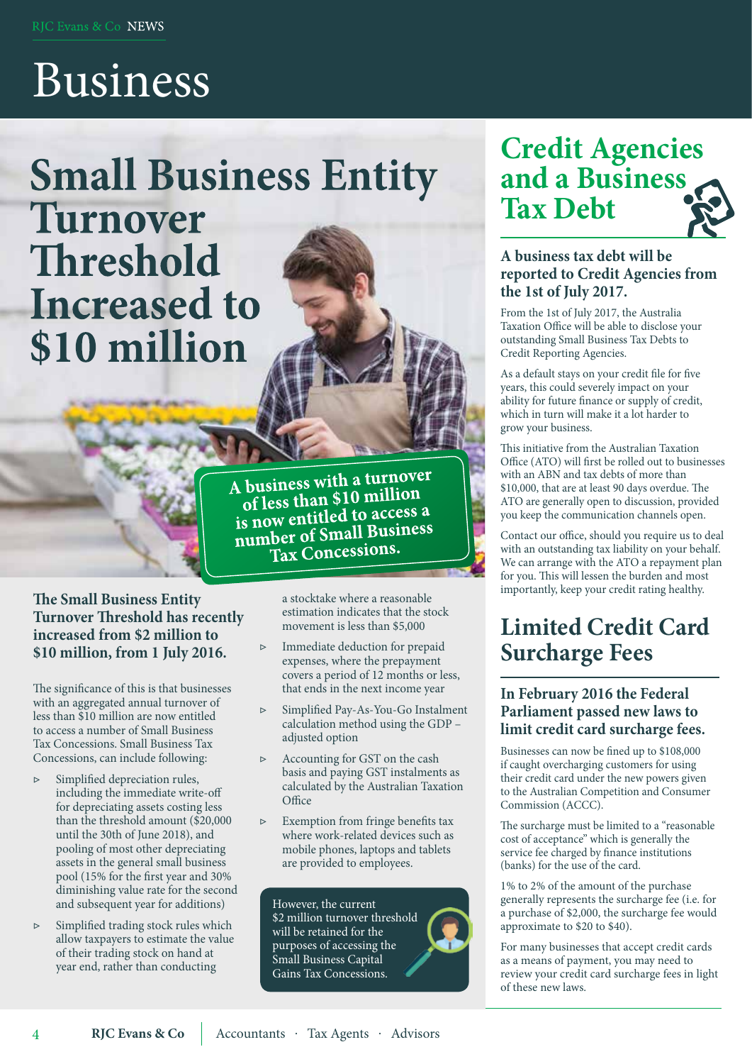## Business

**Small Business Entity** Turnover Threshold **Increased to** \$10 million

> A business with a turnover business with a turnor<br>of less than \$10 million of less than \$10 million is now entitied to access the<br>number of Small Business Tax Concessions.

#### **The Small Business Entity. Turnover Threshold has recently increased from \$2 million to \$10 million, from 1 July 2016.**

The significance of this is that businesses with an aggregated annual turnover of less than \$10 million are now entitled to access a number of Small Business Tax Concessions. Small Business Tax Concessions, can include following:

- ▷ Simplified depreciation rules, including the immediate write-off for depreciating assets costing less than the threshold amount (\$20,000 until the 30th of June 2018), and pooling of most other depreciating assets in the general small business pool (15% for the first year and 30% diminishing value rate for the second and subsequent year for additions)
- ▷ Simplified trading stock rules which allow taxpayers to estimate the value of their trading stock on hand at year end, rather than conducting

4

a stocktake where a reasonable estimation indicates that the stock movement is less than \$5,000

- ▷ Immediate deduction for prepaid expenses, where the prepayment covers a period of 12 months or less, that ends in the next income year
- ▷ Simplified Pay-As-You-Go Instalment calculation method using the GDP – adjusted option
- ▷ Accounting for GST on the cash basis and paying GST instalments as calculated by the Australian Taxation **Office**
- ▷ Exemption from fringe benefits tax where work-related devices such as mobile phones, laptops and tablets are provided to employees.

However, the current \$2 million turnover threshold will be retained for the purposes of accessing the Small Business Capital Gains Tax Concessions.

### **Credit Agencies and a Business Tax Debt**



From the 1st of July 2017, the Australia Taxation Office will be able to disclose your outstanding Small Business Tax Debts to Credit Reporting Agencies.

As a default stays on your credit file for five years, this could severely impact on your ability for future finance or supply of credit, which in turn will make it a lot harder to grow your business.

This initiative from the Australian Taxation Office (ATO) will first be rolled out to businesses with an ABN and tax debts of more than \$10,000, that are at least 90 days overdue. The ATO are generally open to discussion, provided you keep the communication channels open.

Contact our office, should you require us to deal with an outstanding tax liability on your behalf. We can arrange with the ATO a repayment plan for you. This will lessen the burden and most<br>importantly, keep your credit rating healthy.

### **Limited Credit Card Surcharge Fees**

#### **In February 2016 the Federal Parliament passed new laws to limit credit card surcharge fees.**

Businesses can now be fined up to \$108,000 if caught overcharging customers for using their credit card under the new powers given to the Australian Competition and Consumer Commission (ACCC).

The surcharge must be limited to a "reasonable cost of acceptance" which is generally the service fee charged by finance institutions (banks) for the use of the card.

1% to 2% of the amount of the purchase generally represents the surcharge fee (i.e. for a purchase of \$2,000, the surcharge fee would approximate to \$20 to \$40).

For many businesses that accept credit cards as a means of payment, you may need to review your credit card surcharge fees in light of these new laws.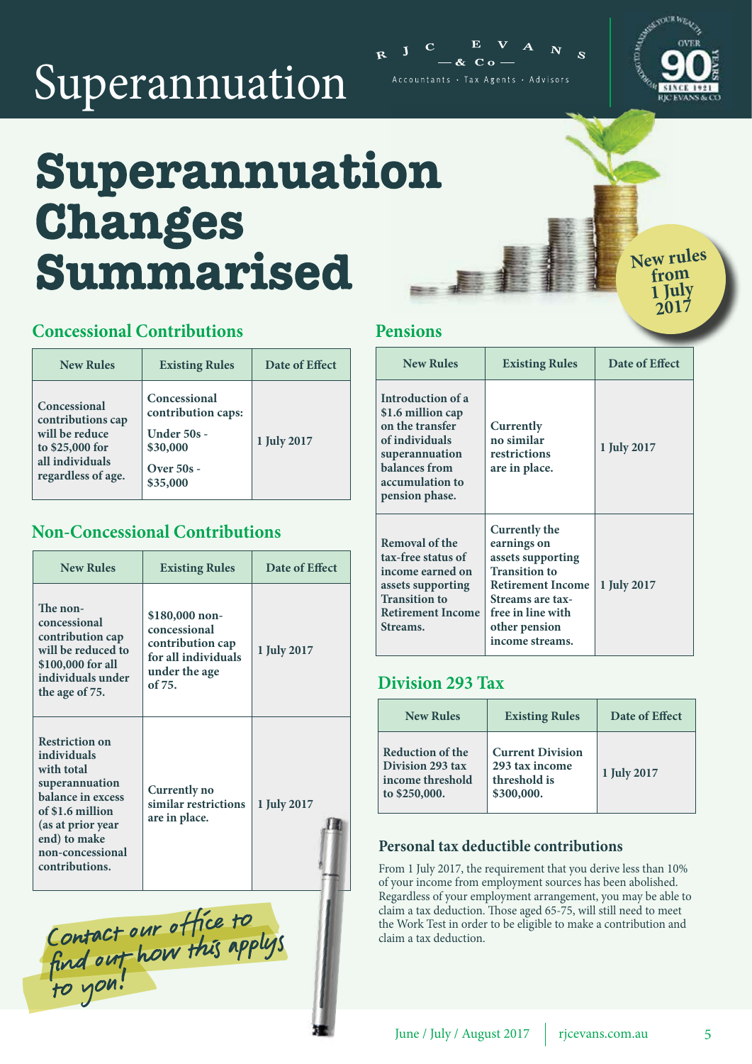## Superannuation



Accountants · Tax Agents · Advisors



## Superannuation **Changes Summarised**

New rules **1 July 2017**

#### **Concessional Contributions**

| <b>New Rules</b>                                                                                                | <b>Existing Rules</b>                                                                     | Date of Effect |
|-----------------------------------------------------------------------------------------------------------------|-------------------------------------------------------------------------------------------|----------------|
| Concessional<br>contributions cap<br>will be reduce<br>to \$25,000 for<br>all individuals<br>regardless of age. | Concessional<br>contribution caps:<br>Under 50s -<br>\$30,000<br>Over $50s -$<br>\$35,000 | 1 July 2017    |

#### **Non-Concessional Contributions**

| <b>New Rules</b>                                                                                                                                                                         | <b>Existing Rules</b>                                                                                | Date of Effect |
|------------------------------------------------------------------------------------------------------------------------------------------------------------------------------------------|------------------------------------------------------------------------------------------------------|----------------|
| The non-<br>concessional<br>contribution cap<br>will be reduced to<br>\$100,000 for all<br>individuals under<br>the age of 75.                                                           | \$180,000 non-<br>concessional<br>contribution cap<br>for all individuals<br>under the age<br>of 75. | 1 July 2017    |
| <b>Restriction on</b><br>individuals<br>with total<br>superannuation<br>balance in excess<br>of \$1.6 million<br>(as at prior year<br>end) to make<br>non-concessional<br>contributions. | Currently no<br>similar restrictions<br>are in place.                                                | 1 July 2017    |

Contact our office to<br>find out how this applys<br>to you!

#### **Pensions**

| <b>New Rules</b>                                                                                                                                    | <b>Existing Rules</b>                                                                                                                                                                     | Date of Effect |
|-----------------------------------------------------------------------------------------------------------------------------------------------------|-------------------------------------------------------------------------------------------------------------------------------------------------------------------------------------------|----------------|
| Introduction of a<br>\$1.6 million cap<br>on the transfer<br>of individuals<br>superannuation<br>balances from<br>accumulation to<br>pension phase. | Currently<br>no similar<br>restrictions<br>are in place.                                                                                                                                  | 1 July 2017    |
| Removal of the<br>tax-free status of<br>income earned on<br>assets supporting<br><b>Transition to</b><br><b>Retirement Income</b><br>Streams.       | Currently the<br>earnings on<br>assets supporting<br><b>Transition to</b><br><b>Retirement Income</b><br><b>Streams are tax-</b><br>free in line with<br>other pension<br>income streams. | 1 July 2017    |

#### **Division 293 Tax**

| <b>New Rules</b>                                                          | <b>Existing Rules</b>                                                   | Date of Effect |
|---------------------------------------------------------------------------|-------------------------------------------------------------------------|----------------|
| Reduction of the<br>Division 293 tax<br>income threshold<br>to \$250,000. | <b>Current Division</b><br>293 tax income<br>threshold is<br>\$300,000. | 1 July 2017    |

#### **Personal tax deductible contributions**

From 1 July 2017, the requirement that you derive less than 10% of your income from employment sources has been abolished. Regardless of your employment arrangement, you may be able to claim a tax deduction. Those aged 65-75, will still need to meet the Work Test in order to be eligible to make a contribution and claim a tax deduction.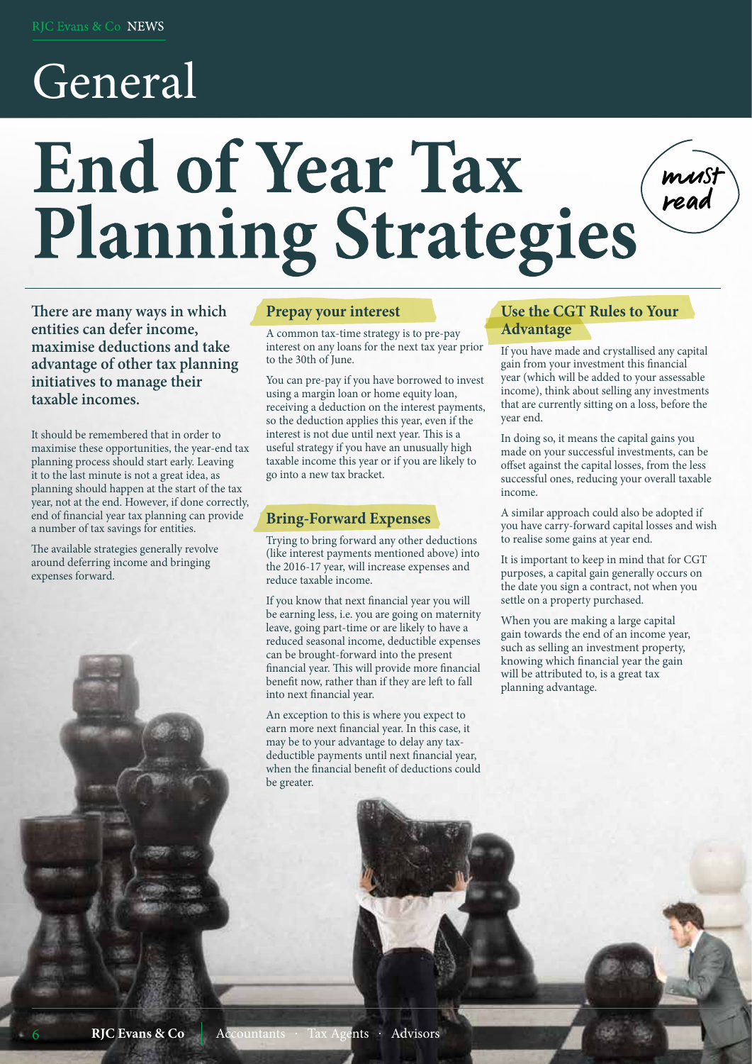## General

# **End of Year Tax Planning Strategies**

**There are many ways in which entities can defer income, maximise deductions and take advantage of other tax planning initiatives to manage their taxable incomes.**

It should be remembered that in order to maximise these opportunities, the year-end tax planning process should start early. Leaving it to the last minute is not a great idea, as planning should happen at the start of the tax year, not at the end. However, if done correctly, end of financial year tax planning can provide a number of tax savings for entities.

The available strategies generally revolve around deferring income and bringing expenses forward.

i

6

#### **Prepay your interest**

A common tax-time strategy is to pre-pay interest on any loans for the next tax year prior to the 30th of June.

You can pre-pay if you have borrowed to invest using a margin loan or home equity loan, receiving a deduction on the interest payments, so the deduction applies this year, even if the interest is not due until next year. This is a useful strategy if you have an unusually high taxable income this year or if you are likely to go into a new tax bracket.

#### **Bring-Forward Expenses**

Trying to bring forward any other deductions (like interest payments mentioned above) into the 2016-17 year, will increase expenses and reduce taxable income.

If you know that next financial year you will be earning less, i.e. you are going on maternity leave, going part-time or are likely to have a reduced seasonal income, deductible expenses can be brought-forward into the present financial year. This will provide more financial benefit now, rather than if they are left to fall into next financial year.

An exception to this is where you expect to earn more next financial year. In this case, it may be to your advantage to delay any taxdeductible payments until next financial year, when the financial benefit of deductions could be greater.

#### **Use the CGT Rules to Your Advantage**

If you have made and crystallised any capital gain from your investment this financial year (which will be added to your assessable income), think about selling any investments that are currently sitting on a loss, before the year end.

must<br>read

In doing so, it means the capital gains you made on your successful investments, can be offset against the capital losses, from the less successful ones, reducing your overall taxable income.

A similar approach could also be adopted if you have carry-forward capital losses and wish to realise some gains at year end.

It is important to keep in mind that for CGT purposes, a capital gain generally occurs on the date you sign a contract, not when you settle on a property purchased.

When you are making a large capital gain towards the end of an income year, such as selling an investment property, knowing which financial year the gain will be attributed to, is a great tax planning advantage.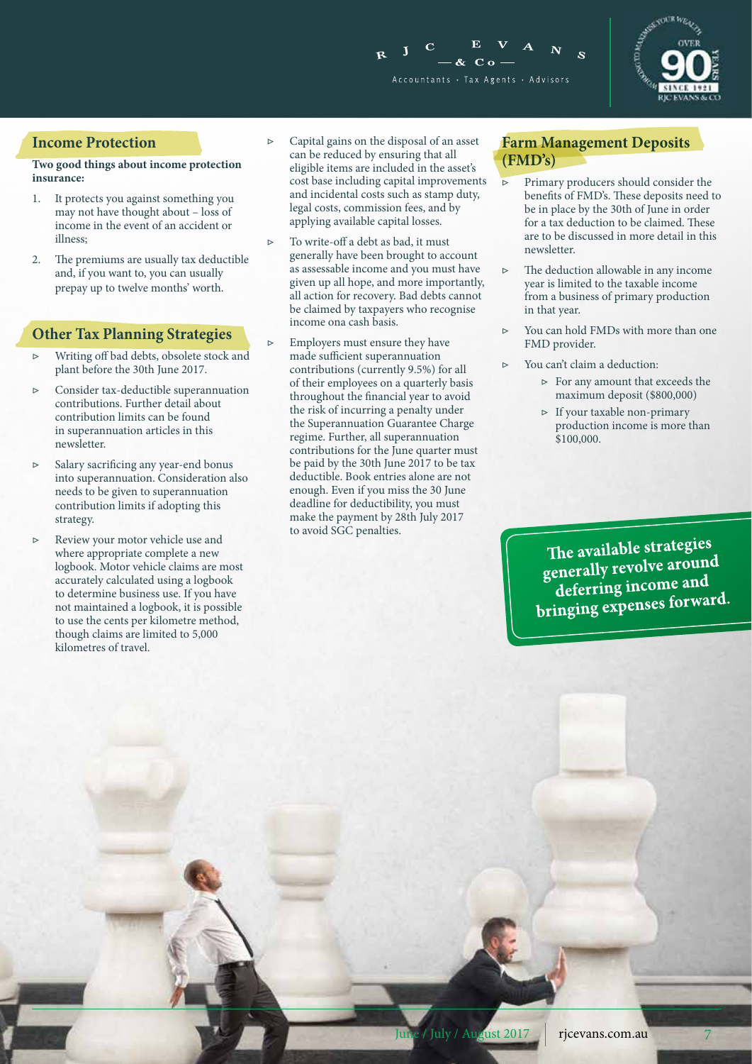



#### **Income Protection**

#### **Two good things about income protection insurance:**

- 1. It protects you against something you may not have thought about – loss of income in the event of an accident or illness;
- 2. The premiums are usually tax deductible and, if you want to, you can usually prepay up to twelve months' worth.

#### **Other Tax Planning Strategies**

- ▷ Writing off bad debts, obsolete stock and plant before the 30th June 2017.
- ▷ Consider tax-deductible superannuation contributions. Further detail about contribution limits can be found in superannuation articles in this newsletter.
- ▷ Salary sacrificing any year-end bonus into superannuation. Consideration also needs to be given to superannuation contribution limits if adopting this strategy.
- ▷ Review your motor vehicle use and where appropriate complete a new logbook. Motor vehicle claims are most accurately calculated using a logbook to determine business use. If you have not maintained a logbook, it is possible to use the cents per kilometre method, though claims are limited to 5,000 kilometres of travel.
- Capital gains on the disposal of an asset can be reduced by ensuring that all eligible items are included in the asset's cost base including capital improvements and incidental costs such as stamp duty, legal costs, commission fees, and by applying available capital losses.
- To write-off a debt as bad, it must generally have been brought to account as assessable income and you must have given up all hope, and more importantly, all action for recovery. Bad debts cannot be claimed by taxpayers who recognise income ona cash basis.
- Employers must ensure they have made sufficient superannuation contributions (currently 9.5%) for all of their employees on a quarterly basis throughout the financial year to avoid the risk of incurring a penalty under the Superannuation Guarantee Charge regime. Further, all superannuation contributions for the June quarter must be paid by the 30th June 2017 to be tax deductible. Book entries alone are not enough. Even if you miss the 30 June deadline for deductibility, you must make the payment by 28th July 2017 to avoid SGC penalties.

#### **Farm Management Deposits (FMD's)**

- ▷ Primary producers should consider the benefits of FMD's. These deposits need to be in place by the 30th of June in order for a tax deduction to be claimed. These are to be discussed in more detail in this newsletter.
- ▷ The deduction allowable in any income year is limited to the taxable income from a business of primary production in that year.
- You can hold FMDs with more than one FMD provider.
- ▷ You can't claim a deduction:
	- ▷ For any amount that exceeds the maximum deposit (\$800,000)
	- ▷ If your taxable non-primary production income is more than \$100,000.

The available strategies<br>generally revolve around<br>deferring income and deterring income are